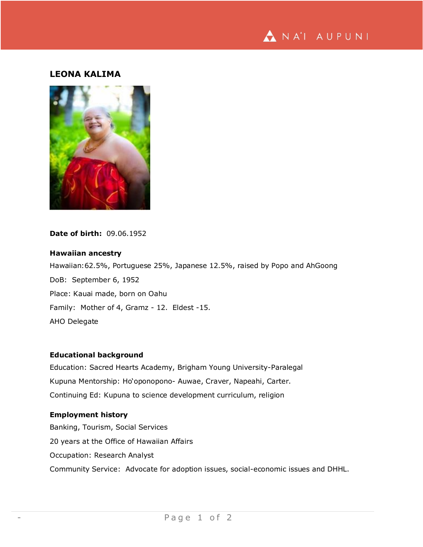

# **LEONA KALIMA**



### **Date of birth:** 09.06.1952

# **Hawaiian ancestry**

Hawaiian:62.5%, Portuguese 25%, Japanese 12.5%, raised by Popo and AhGoong DoB: September 6, 1952 Place: Kauai made, born on Oahu Family: Mother of 4, Gramz - 12. Eldest -15. AHO Delegate

### **Educational background**

Education: Sacred Hearts Academy, Brigham Young University-Paralegal Kupuna Mentorship: Ho'oponopono- Auwae, Craver, Napeahi, Carter. Continuing Ed: Kupuna to science development curriculum, religion

## **Employment history**

Banking, Tourism, Social Services 20 years at the Office of Hawaiian Affairs Occupation: Research Analyst Community Service: Advocate for adoption issues, social-economic issues and DHHL.